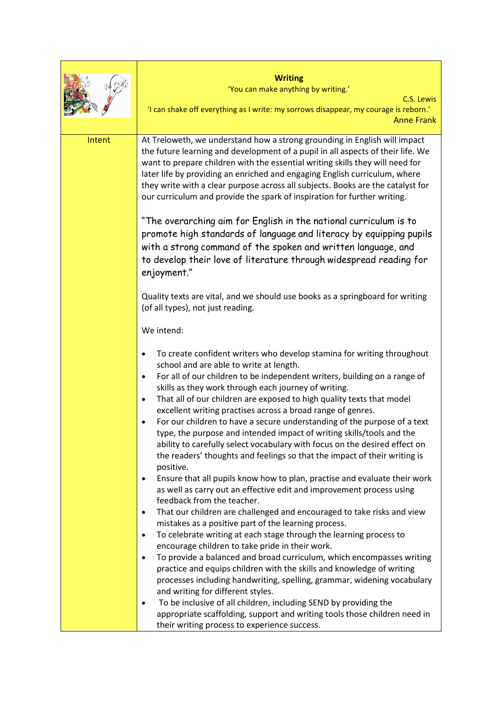| <b>Writing</b><br>'You can make anything by writing.'<br>C.S. Lewis<br>'I can shake off everything as I write: my sorrows disappear, my courage is reborn.'<br><b>Anne Frank</b><br>At Treloweth, we understand how a strong grounding in English will impact<br>Intent<br>the future learning and development of a pupil in all aspects of their life. We<br>want to prepare children with the essential writing skills they will need for<br>later life by providing an enriched and engaging English curriculum, where<br>they write with a clear purpose across all subjects. Books are the catalyst for<br>our curriculum and provide the spark of inspiration for further writing.<br>"The overarching aim for English in the national curriculum is to<br>promote high standards of language and literacy by equipping pupils<br>with a strong command of the spoken and written language, and<br>to develop their love of literature through widespread reading for<br>enjoyment."<br>Quality texts are vital, and we should use books as a springboard for writing<br>(of all types), not just reading. |
|------------------------------------------------------------------------------------------------------------------------------------------------------------------------------------------------------------------------------------------------------------------------------------------------------------------------------------------------------------------------------------------------------------------------------------------------------------------------------------------------------------------------------------------------------------------------------------------------------------------------------------------------------------------------------------------------------------------------------------------------------------------------------------------------------------------------------------------------------------------------------------------------------------------------------------------------------------------------------------------------------------------------------------------------------------------------------------------------------------------|
|                                                                                                                                                                                                                                                                                                                                                                                                                                                                                                                                                                                                                                                                                                                                                                                                                                                                                                                                                                                                                                                                                                                  |
|                                                                                                                                                                                                                                                                                                                                                                                                                                                                                                                                                                                                                                                                                                                                                                                                                                                                                                                                                                                                                                                                                                                  |
|                                                                                                                                                                                                                                                                                                                                                                                                                                                                                                                                                                                                                                                                                                                                                                                                                                                                                                                                                                                                                                                                                                                  |
|                                                                                                                                                                                                                                                                                                                                                                                                                                                                                                                                                                                                                                                                                                                                                                                                                                                                                                                                                                                                                                                                                                                  |
|                                                                                                                                                                                                                                                                                                                                                                                                                                                                                                                                                                                                                                                                                                                                                                                                                                                                                                                                                                                                                                                                                                                  |
|                                                                                                                                                                                                                                                                                                                                                                                                                                                                                                                                                                                                                                                                                                                                                                                                                                                                                                                                                                                                                                                                                                                  |
|                                                                                                                                                                                                                                                                                                                                                                                                                                                                                                                                                                                                                                                                                                                                                                                                                                                                                                                                                                                                                                                                                                                  |
|                                                                                                                                                                                                                                                                                                                                                                                                                                                                                                                                                                                                                                                                                                                                                                                                                                                                                                                                                                                                                                                                                                                  |
|                                                                                                                                                                                                                                                                                                                                                                                                                                                                                                                                                                                                                                                                                                                                                                                                                                                                                                                                                                                                                                                                                                                  |
|                                                                                                                                                                                                                                                                                                                                                                                                                                                                                                                                                                                                                                                                                                                                                                                                                                                                                                                                                                                                                                                                                                                  |
|                                                                                                                                                                                                                                                                                                                                                                                                                                                                                                                                                                                                                                                                                                                                                                                                                                                                                                                                                                                                                                                                                                                  |
|                                                                                                                                                                                                                                                                                                                                                                                                                                                                                                                                                                                                                                                                                                                                                                                                                                                                                                                                                                                                                                                                                                                  |
|                                                                                                                                                                                                                                                                                                                                                                                                                                                                                                                                                                                                                                                                                                                                                                                                                                                                                                                                                                                                                                                                                                                  |
|                                                                                                                                                                                                                                                                                                                                                                                                                                                                                                                                                                                                                                                                                                                                                                                                                                                                                                                                                                                                                                                                                                                  |
|                                                                                                                                                                                                                                                                                                                                                                                                                                                                                                                                                                                                                                                                                                                                                                                                                                                                                                                                                                                                                                                                                                                  |
|                                                                                                                                                                                                                                                                                                                                                                                                                                                                                                                                                                                                                                                                                                                                                                                                                                                                                                                                                                                                                                                                                                                  |
|                                                                                                                                                                                                                                                                                                                                                                                                                                                                                                                                                                                                                                                                                                                                                                                                                                                                                                                                                                                                                                                                                                                  |
|                                                                                                                                                                                                                                                                                                                                                                                                                                                                                                                                                                                                                                                                                                                                                                                                                                                                                                                                                                                                                                                                                                                  |
|                                                                                                                                                                                                                                                                                                                                                                                                                                                                                                                                                                                                                                                                                                                                                                                                                                                                                                                                                                                                                                                                                                                  |
|                                                                                                                                                                                                                                                                                                                                                                                                                                                                                                                                                                                                                                                                                                                                                                                                                                                                                                                                                                                                                                                                                                                  |
|                                                                                                                                                                                                                                                                                                                                                                                                                                                                                                                                                                                                                                                                                                                                                                                                                                                                                                                                                                                                                                                                                                                  |
|                                                                                                                                                                                                                                                                                                                                                                                                                                                                                                                                                                                                                                                                                                                                                                                                                                                                                                                                                                                                                                                                                                                  |
| We intend:                                                                                                                                                                                                                                                                                                                                                                                                                                                                                                                                                                                                                                                                                                                                                                                                                                                                                                                                                                                                                                                                                                       |
| To create confident writers who develop stamina for writing throughout<br>$\bullet$                                                                                                                                                                                                                                                                                                                                                                                                                                                                                                                                                                                                                                                                                                                                                                                                                                                                                                                                                                                                                              |
| school and are able to write at length.                                                                                                                                                                                                                                                                                                                                                                                                                                                                                                                                                                                                                                                                                                                                                                                                                                                                                                                                                                                                                                                                          |
| For all of our children to be independent writers, building on a range of<br>$\bullet$                                                                                                                                                                                                                                                                                                                                                                                                                                                                                                                                                                                                                                                                                                                                                                                                                                                                                                                                                                                                                           |
| skills as they work through each journey of writing.                                                                                                                                                                                                                                                                                                                                                                                                                                                                                                                                                                                                                                                                                                                                                                                                                                                                                                                                                                                                                                                             |
| That all of our children are exposed to high quality texts that model<br>$\bullet$                                                                                                                                                                                                                                                                                                                                                                                                                                                                                                                                                                                                                                                                                                                                                                                                                                                                                                                                                                                                                               |
| excellent writing practises across a broad range of genres.                                                                                                                                                                                                                                                                                                                                                                                                                                                                                                                                                                                                                                                                                                                                                                                                                                                                                                                                                                                                                                                      |
| For our children to have a secure understanding of the purpose of a text<br>$\bullet$                                                                                                                                                                                                                                                                                                                                                                                                                                                                                                                                                                                                                                                                                                                                                                                                                                                                                                                                                                                                                            |
| type, the purpose and intended impact of writing skills/tools and the                                                                                                                                                                                                                                                                                                                                                                                                                                                                                                                                                                                                                                                                                                                                                                                                                                                                                                                                                                                                                                            |
| ability to carefully select vocabulary with focus on the desired effect on                                                                                                                                                                                                                                                                                                                                                                                                                                                                                                                                                                                                                                                                                                                                                                                                                                                                                                                                                                                                                                       |
| the readers' thoughts and feelings so that the impact of their writing is                                                                                                                                                                                                                                                                                                                                                                                                                                                                                                                                                                                                                                                                                                                                                                                                                                                                                                                                                                                                                                        |
| positive.                                                                                                                                                                                                                                                                                                                                                                                                                                                                                                                                                                                                                                                                                                                                                                                                                                                                                                                                                                                                                                                                                                        |
| Ensure that all pupils know how to plan, practise and evaluate their work<br>$\bullet$                                                                                                                                                                                                                                                                                                                                                                                                                                                                                                                                                                                                                                                                                                                                                                                                                                                                                                                                                                                                                           |
| as well as carry out an effective edit and improvement process using                                                                                                                                                                                                                                                                                                                                                                                                                                                                                                                                                                                                                                                                                                                                                                                                                                                                                                                                                                                                                                             |
| feedback from the teacher.                                                                                                                                                                                                                                                                                                                                                                                                                                                                                                                                                                                                                                                                                                                                                                                                                                                                                                                                                                                                                                                                                       |
| That our children are challenged and encouraged to take risks and view<br>$\bullet$                                                                                                                                                                                                                                                                                                                                                                                                                                                                                                                                                                                                                                                                                                                                                                                                                                                                                                                                                                                                                              |
| mistakes as a positive part of the learning process.                                                                                                                                                                                                                                                                                                                                                                                                                                                                                                                                                                                                                                                                                                                                                                                                                                                                                                                                                                                                                                                             |
| To celebrate writing at each stage through the learning process to<br>$\bullet$                                                                                                                                                                                                                                                                                                                                                                                                                                                                                                                                                                                                                                                                                                                                                                                                                                                                                                                                                                                                                                  |
| encourage children to take pride in their work.                                                                                                                                                                                                                                                                                                                                                                                                                                                                                                                                                                                                                                                                                                                                                                                                                                                                                                                                                                                                                                                                  |
| To provide a balanced and broad curriculum, which encompasses writing<br>$\bullet$                                                                                                                                                                                                                                                                                                                                                                                                                                                                                                                                                                                                                                                                                                                                                                                                                                                                                                                                                                                                                               |
| practice and equips children with the skills and knowledge of writing                                                                                                                                                                                                                                                                                                                                                                                                                                                                                                                                                                                                                                                                                                                                                                                                                                                                                                                                                                                                                                            |
| processes including handwriting, spelling, grammar, widening vocabulary<br>and writing for different styles.                                                                                                                                                                                                                                                                                                                                                                                                                                                                                                                                                                                                                                                                                                                                                                                                                                                                                                                                                                                                     |
| To be inclusive of all children, including SEND by providing the<br>$\bullet$                                                                                                                                                                                                                                                                                                                                                                                                                                                                                                                                                                                                                                                                                                                                                                                                                                                                                                                                                                                                                                    |
| appropriate scaffolding, support and writing tools those children need in                                                                                                                                                                                                                                                                                                                                                                                                                                                                                                                                                                                                                                                                                                                                                                                                                                                                                                                                                                                                                                        |
| their writing process to experience success.                                                                                                                                                                                                                                                                                                                                                                                                                                                                                                                                                                                                                                                                                                                                                                                                                                                                                                                                                                                                                                                                     |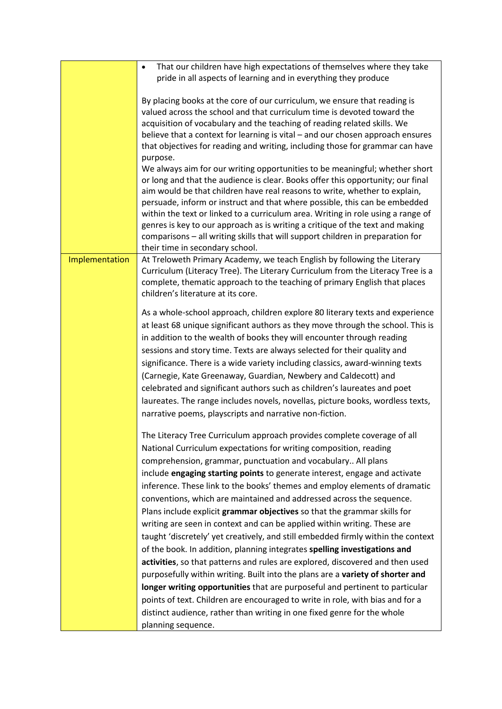|                | That our children have high expectations of themselves where they take<br>$\bullet$<br>pride in all aspects of learning and in everything they produce                                                                                                                                                                                                                                                                                                                                                                                                                                                                                                                                                                                                                                                                                                                                                                                       |
|----------------|----------------------------------------------------------------------------------------------------------------------------------------------------------------------------------------------------------------------------------------------------------------------------------------------------------------------------------------------------------------------------------------------------------------------------------------------------------------------------------------------------------------------------------------------------------------------------------------------------------------------------------------------------------------------------------------------------------------------------------------------------------------------------------------------------------------------------------------------------------------------------------------------------------------------------------------------|
|                | By placing books at the core of our curriculum, we ensure that reading is<br>valued across the school and that curriculum time is devoted toward the<br>acquisition of vocabulary and the teaching of reading related skills. We<br>believe that a context for learning is vital - and our chosen approach ensures<br>that objectives for reading and writing, including those for grammar can have<br>purpose.                                                                                                                                                                                                                                                                                                                                                                                                                                                                                                                              |
|                | We always aim for our writing opportunities to be meaningful; whether short<br>or long and that the audience is clear. Books offer this opportunity; our final<br>aim would be that children have real reasons to write, whether to explain,<br>persuade, inform or instruct and that where possible, this can be embedded<br>within the text or linked to a curriculum area. Writing in role using a range of<br>genres is key to our approach as is writing a critique of the text and making<br>comparisons - all writing skills that will support children in preparation for<br>their time in secondary school.                                                                                                                                                                                                                                                                                                                         |
| Implementation | At Treloweth Primary Academy, we teach English by following the Literary<br>Curriculum (Literacy Tree). The Literary Curriculum from the Literacy Tree is a<br>complete, thematic approach to the teaching of primary English that places<br>children's literature at its core.                                                                                                                                                                                                                                                                                                                                                                                                                                                                                                                                                                                                                                                              |
|                | As a whole-school approach, children explore 80 literary texts and experience<br>at least 68 unique significant authors as they move through the school. This is<br>in addition to the wealth of books they will encounter through reading<br>sessions and story time. Texts are always selected for their quality and<br>significance. There is a wide variety including classics, award-winning texts<br>(Carnegie, Kate Greenaway, Guardian, Newbery and Caldecott) and<br>celebrated and significant authors such as children's laureates and poet<br>laureates. The range includes novels, novellas, picture books, wordless texts,<br>narrative poems, playscripts and narrative non-fiction.                                                                                                                                                                                                                                          |
|                | The Literacy Tree Curriculum approach provides complete coverage of all<br>National Curriculum expectations for writing composition, reading<br>comprehension, grammar, punctuation and vocabulary All plans<br>include engaging starting points to generate interest, engage and activate<br>inference. These link to the books' themes and employ elements of dramatic<br>conventions, which are maintained and addressed across the sequence.<br>Plans include explicit grammar objectives so that the grammar skills for<br>writing are seen in context and can be applied within writing. These are<br>taught 'discretely' yet creatively, and still embedded firmly within the context<br>of the book. In addition, planning integrates spelling investigations and<br>activities, so that patterns and rules are explored, discovered and then used<br>purposefully within writing. Built into the plans are a variety of shorter and |
|                | longer writing opportunities that are purposeful and pertinent to particular<br>points of text. Children are encouraged to write in role, with bias and for a<br>distinct audience, rather than writing in one fixed genre for the whole<br>planning sequence.                                                                                                                                                                                                                                                                                                                                                                                                                                                                                                                                                                                                                                                                               |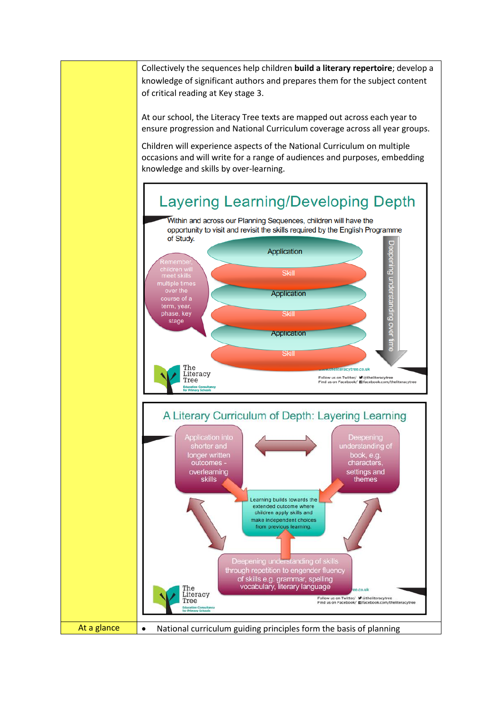